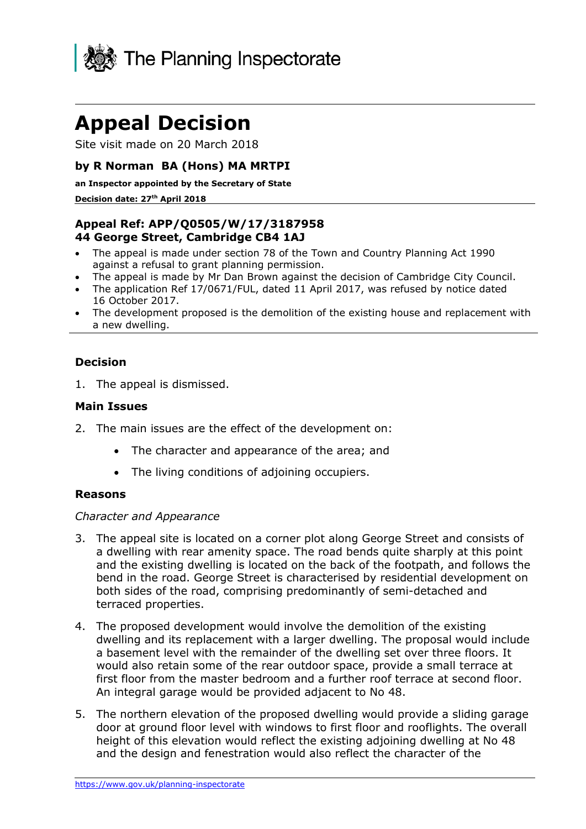

# **Appeal Decision**

Site visit made on 20 March 2018

## **by R Norman BA (Hons) MA MRTPI**

**an Inspector appointed by the Secretary of State**

#### **Decision date: 27th April 2018**

# **Appeal Ref: APP/Q0505/W/17/3187958 44 George Street, Cambridge CB4 1AJ**

- The appeal is made under section 78 of the Town and Country Planning Act 1990 against a refusal to grant planning permission.
- The appeal is made by Mr Dan Brown against the decision of Cambridge City Council.
- The application Ref 17/0671/FUL, dated 11 April 2017, was refused by notice dated 16 October 2017.
- The development proposed is the demolition of the existing house and replacement with a new dwelling.

#### **Decision**

1. The appeal is dismissed.

#### **Main Issues**

- 2. The main issues are the effect of the development on:
	- The character and appearance of the area; and
	- The living conditions of adioining occupiers.

## **Reasons**

#### *Character and Appearance*

- 3. The appeal site is located on a corner plot along George Street and consists of a dwelling with rear amenity space. The road bends quite sharply at this point and the existing dwelling is located on the back of the footpath, and follows the bend in the road. George Street is characterised by residential development on both sides of the road, comprising predominantly of semi-detached and terraced properties.
- 4. The proposed development would involve the demolition of the existing dwelling and its replacement with a larger dwelling. The proposal would include a basement level with the remainder of the dwelling set over three floors. It would also retain some of the rear outdoor space, provide a small terrace at first floor from the master bedroom and a further roof terrace at second floor. An integral garage would be provided adjacent to No 48.
- 5. The northern elevation of the proposed dwelling would provide a sliding garage door at ground floor level with windows to first floor and rooflights. The overall height of this elevation would reflect the existing adjoining dwelling at No 48 and the design and fenestration would also reflect the character of the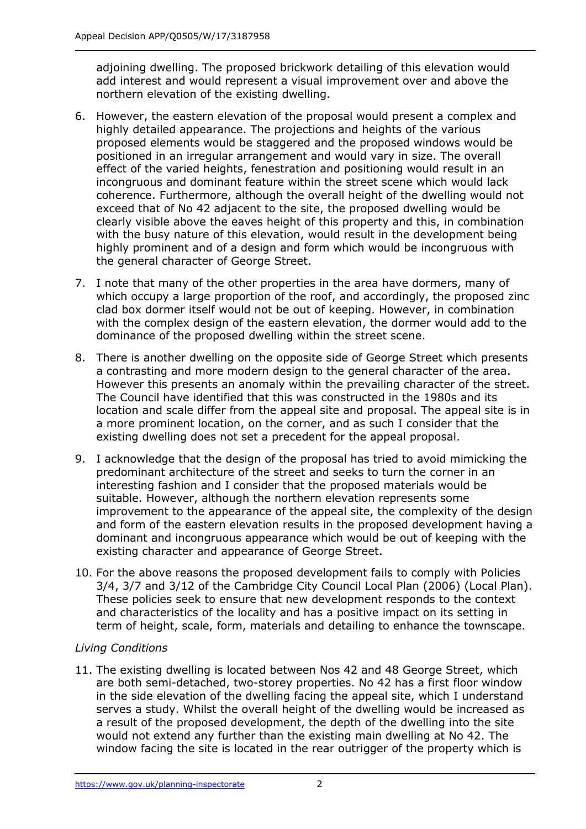adjoining dwelling. The proposed brickwork detailing of this elevation would add interest and would represent a visual improvement over and above the northern elevation of the existing dwelling.

- 6. However, the eastern elevation of the proposal would present a complex and highly detailed appearance. The projections and heights of the various proposed elements would be staggered and the proposed windows would be positioned in an irregular arrangement and would vary in size. The overall effect of the varied heights, fenestration and positioning would result in an incongruous and dominant feature within the street scene which would lack coherence. Furthermore, although the overall height of the dwelling would not exceed that of No 42 adjacent to the site, the proposed dwelling would be clearly visible above the eaves height of this property and this, in combination with the busy nature of this elevation, would result in the development being highly prominent and of a design and form which would be incongruous with the general character of George Street.
- 7. I note that many of the other properties in the area have dormers, many of which occupy a large proportion of the roof, and accordingly, the proposed zinc clad box dormer itself would not be out of keeping. However, in combination with the complex design of the eastern elevation, the dormer would add to the dominance of the proposed dwelling within the street scene.
- 8. There is another dwelling on the opposite side of George Street which presents a contrasting and more modern design to the general character of the area. However this presents an anomaly within the prevailing character of the street. The Council have identified that this was constructed in the 1980s and its location and scale differ from the appeal site and proposal. The appeal site is in a more prominent location, on the corner, and as such I consider that the existing dwelling does not set a precedent for the appeal proposal.
- 9. I acknowledge that the design of the proposal has tried to avoid mimicking the predominant architecture of the street and seeks to turn the corner in an interesting fashion and I consider that the proposed materials would be suitable. However, although the northern elevation represents some improvement to the appearance of the appeal site, the complexity of the design and form of the eastern elevation results in the proposed development having a dominant and incongruous appearance which would be out of keeping with the existing character and appearance of George Street.
- 10. For the above reasons the proposed development fails to comply with Policies 3/4, 3/7 and 3/12 of the Cambridge City Council Local Plan (2006) (Local Plan). These policies seek to ensure that new development responds to the context and characteristics of the locality and has a positive impact on its setting in term of height, scale, form, materials and detailing to enhance the townscape.

# *Living Conditions*

11. The existing dwelling is located between Nos 42 and 48 George Street, which are both semi-detached, two-storey properties. No 42 has a first floor window in the side elevation of the dwelling facing the appeal site, which I understand serves a study. Whilst the overall height of the dwelling would be increased as a result of the proposed development, the depth of the dwelling into the site would not extend any further than the existing main dwelling at No 42. The window facing the site is located in the rear outrigger of the property which is